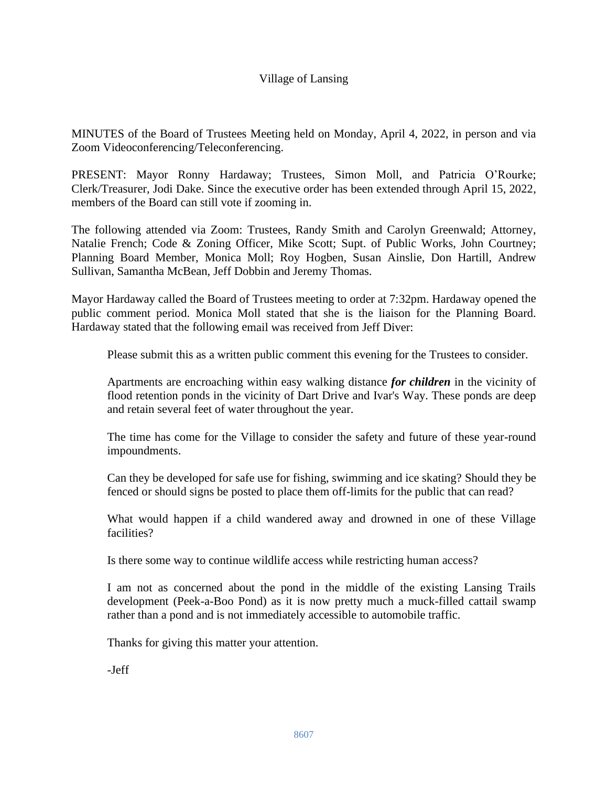## Village of Lansing

MINUTES of the Board of Trustees Meeting held on Monday, April 4, 2022, in person and via Zoom Videoconferencing/Teleconferencing.

PRESENT: Mayor Ronny Hardaway; Trustees, Simon Moll, and Patricia O'Rourke; Clerk/Treasurer, Jodi Dake. Since the executive order has been extended through April 15, 2022, members of the Board can still vote if zooming in.

The following attended via Zoom: Trustees, Randy Smith and Carolyn Greenwald; Attorney, Natalie French; Code & Zoning Officer, Mike Scott; Supt. of Public Works, John Courtney; Planning Board Member, Monica Moll; Roy Hogben, Susan Ainslie, Don Hartill, Andrew Sullivan, Samantha McBean, Jeff Dobbin and Jeremy Thomas.

Mayor Hardaway called the Board of Trustees meeting to order at 7:32pm. Hardaway opened the public comment period. Monica Moll stated that she is the liaison for the Planning Board. Hardaway stated that the following email was received from Jeff Diver:

Please submit this as a written public comment this evening for the Trustees to consider.

Apartments are encroaching within easy walking distance *for children* in the vicinity of flood retention ponds in the vicinity of Dart Drive and Ivar's Way. These ponds are deep and retain several feet of water throughout the year.

The time has come for the Village to consider the safety and future of these year-round impoundments.

Can they be developed for safe use for fishing, swimming and ice skating? Should they be fenced or should signs be posted to place them off-limits for the public that can read?

What would happen if a child wandered away and drowned in one of these Village facilities?

Is there some way to continue wildlife access while restricting human access?

I am not as concerned about the pond in the middle of the existing Lansing Trails development (Peek-a-Boo Pond) as it is now pretty much a muck-filled cattail swamp rather than a pond and is not immediately accessible to automobile traffic.

Thanks for giving this matter your attention.

-Jeff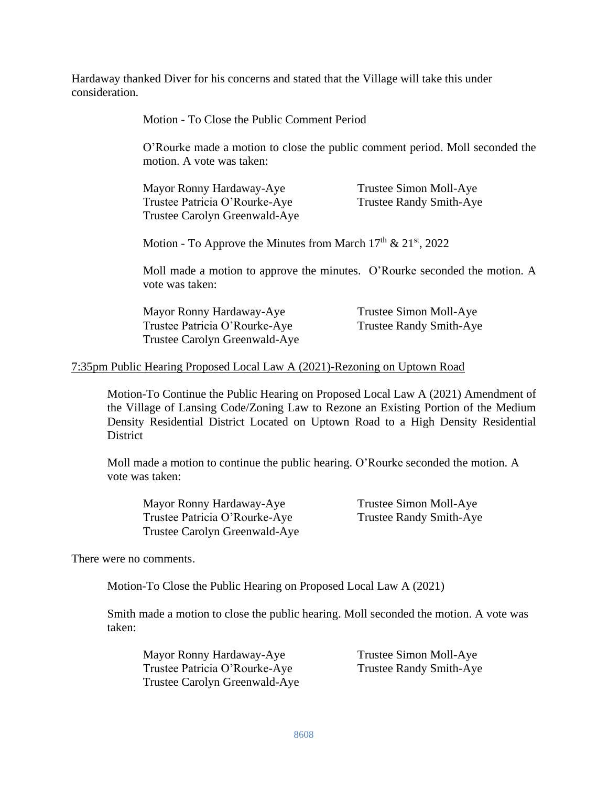Hardaway thanked Diver for his concerns and stated that the Village will take this under consideration.

Motion - To Close the Public Comment Period

O'Rourke made a motion to close the public comment period. Moll seconded the motion. A vote was taken:

Mayor Ronny Hardaway-Aye Trustee Simon Moll-Aye Trustee Patricia O'Rourke-Aye Trustee Randy Smith-Aye Trustee Carolyn Greenwald-Aye

Motion - To Approve the Minutes from March  $17<sup>th</sup>$  &  $21<sup>st</sup>$ , 2022

Moll made a motion to approve the minutes. O'Rourke seconded the motion. A vote was taken:

Mayor Ronny Hardaway-Aye Trustee Simon Moll-Aye Trustee Patricia O'Rourke-Aye Trustee Randy Smith-Aye Trustee Carolyn Greenwald-Aye

### 7:35pm Public Hearing Proposed Local Law A (2021)-Rezoning on Uptown Road

Motion-To Continue the Public Hearing on Proposed Local Law A (2021) Amendment of the Village of Lansing Code/Zoning Law to Rezone an Existing Portion of the Medium Density Residential District Located on Uptown Road to a High Density Residential **District** 

Moll made a motion to continue the public hearing. O'Rourke seconded the motion. A vote was taken:

Mayor Ronny Hardaway-Aye Trustee Simon Moll-Aye Trustee Patricia O'Rourke-Aye Trustee Randy Smith-Aye Trustee Carolyn Greenwald-Aye

There were no comments.

Motion-To Close the Public Hearing on Proposed Local Law A (2021)

Smith made a motion to close the public hearing. Moll seconded the motion. A vote was taken:

| Mayor Ronny Hardaway-Aye      | Trustee Simon Moll-Aye  |
|-------------------------------|-------------------------|
| Trustee Patricia O'Rourke-Aye | Trustee Randy Smith-Aye |
| Trustee Carolyn Greenwald-Aye |                         |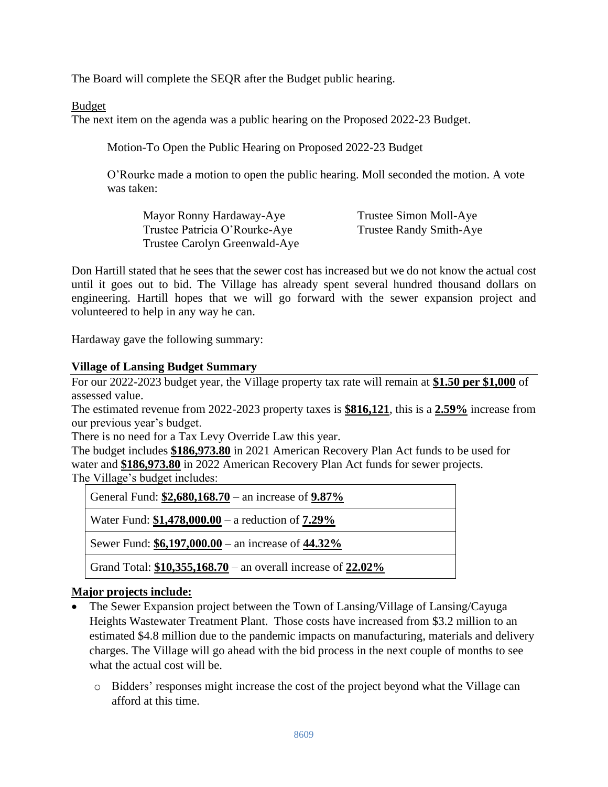The Board will complete the SEQR after the Budget public hearing.

Budget

The next item on the agenda was a public hearing on the Proposed 2022-23 Budget.

Motion-To Open the Public Hearing on Proposed 2022-23 Budget

O'Rourke made a motion to open the public hearing. Moll seconded the motion. A vote was taken:

| Mayor Ronny Hardaway-Aye      | Trustee Simon Moll-Aye         |
|-------------------------------|--------------------------------|
| Trustee Patricia O'Rourke-Aye | <b>Trustee Randy Smith-Aye</b> |
| Trustee Carolyn Greenwald-Aye |                                |

Don Hartill stated that he sees that the sewer cost has increased but we do not know the actual cost until it goes out to bid. The Village has already spent several hundred thousand dollars on engineering. Hartill hopes that we will go forward with the sewer expansion project and volunteered to help in any way he can.

Hardaway gave the following summary:

## **Village of Lansing Budget Summary**

For our 2022-2023 budget year, the Village property tax rate will remain at **\$1.50 per \$1,000** of assessed value.

The estimated revenue from 2022-2023 property taxes is **\$816,121**, this is a **2.59%** increase from our previous year's budget.

There is no need for a Tax Levy Override Law this year.

The budget includes **\$186,973.80** in 2021 American Recovery Plan Act funds to be used for water and **\$186,973.80** in 2022 American Recovery Plan Act funds for sewer projects. The Village's budget includes:

| General Fund: $$2,680,168.70$ – an increase of $9.87\%$          |  |
|------------------------------------------------------------------|--|
| Water Fund: $$1,478,000.00 - a$ reduction of 7.29%               |  |
| Sewer Fund: \$6,197,000.00 – an increase of 44.32%               |  |
| Grand Total: $$10,355,168.70$ – an overall increase of $22.02\%$ |  |

# **Major projects include:**

- The Sewer Expansion project between the Town of Lansing/Village of Lansing/Cayuga Heights Wastewater Treatment Plant. Those costs have increased from \$3.2 million to an estimated \$4.8 million due to the pandemic impacts on manufacturing, materials and delivery charges. The Village will go ahead with the bid process in the next couple of months to see what the actual cost will be.
	- o Bidders' responses might increase the cost of the project beyond what the Village can afford at this time.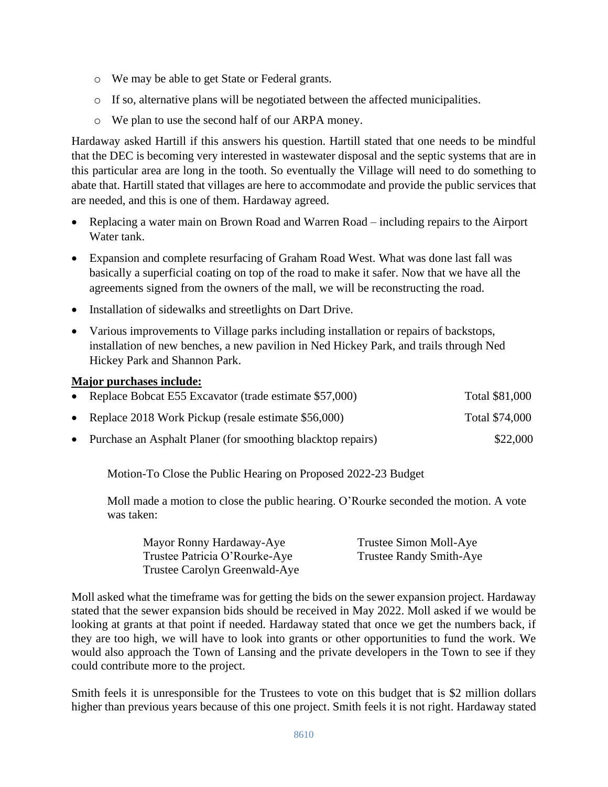- o We may be able to get State or Federal grants.
- o If so, alternative plans will be negotiated between the affected municipalities.
- o We plan to use the second half of our ARPA money.

Hardaway asked Hartill if this answers his question. Hartill stated that one needs to be mindful that the DEC is becoming very interested in wastewater disposal and the septic systems that are in this particular area are long in the tooth. So eventually the Village will need to do something to abate that. Hartill stated that villages are here to accommodate and provide the public services that are needed, and this is one of them. Hardaway agreed.

- Replacing a water main on Brown Road and Warren Road including repairs to the Airport Water tank.
- Expansion and complete resurfacing of Graham Road West. What was done last fall was basically a superficial coating on top of the road to make it safer. Now that we have all the agreements signed from the owners of the mall, we will be reconstructing the road.
- Installation of sidewalks and streetlights on Dart Drive.
- Various improvements to Village parks including installation or repairs of backstops, installation of new benches, a new pavilion in Ned Hickey Park, and trails through Ned Hickey Park and Shannon Park.

#### **Major purchases include:**

| • Replace Bobcat E55 Excavator (trade estimate \$57,000)      | Total \$81,000 |
|---------------------------------------------------------------|----------------|
| • Replace 2018 Work Pickup (resale estimate $$56,000$ )       | Total \$74,000 |
| • Purchase an Asphalt Planer (for smoothing blacktop repairs) | \$22,000       |

Motion-To Close the Public Hearing on Proposed 2022-23 Budget

Moll made a motion to close the public hearing. O'Rourke seconded the motion. A vote was taken:

| Mayor Ronny Hardaway-Aye      | Trustee Simon Moll-Aye         |
|-------------------------------|--------------------------------|
| Trustee Patricia O'Rourke-Aye | <b>Trustee Randy Smith-Aye</b> |
| Trustee Carolyn Greenwald-Aye |                                |

Moll asked what the timeframe was for getting the bids on the sewer expansion project. Hardaway stated that the sewer expansion bids should be received in May 2022. Moll asked if we would be looking at grants at that point if needed. Hardaway stated that once we get the numbers back, if they are too high, we will have to look into grants or other opportunities to fund the work. We would also approach the Town of Lansing and the private developers in the Town to see if they could contribute more to the project.

Smith feels it is unresponsible for the Trustees to vote on this budget that is \$2 million dollars higher than previous years because of this one project. Smith feels it is not right. Hardaway stated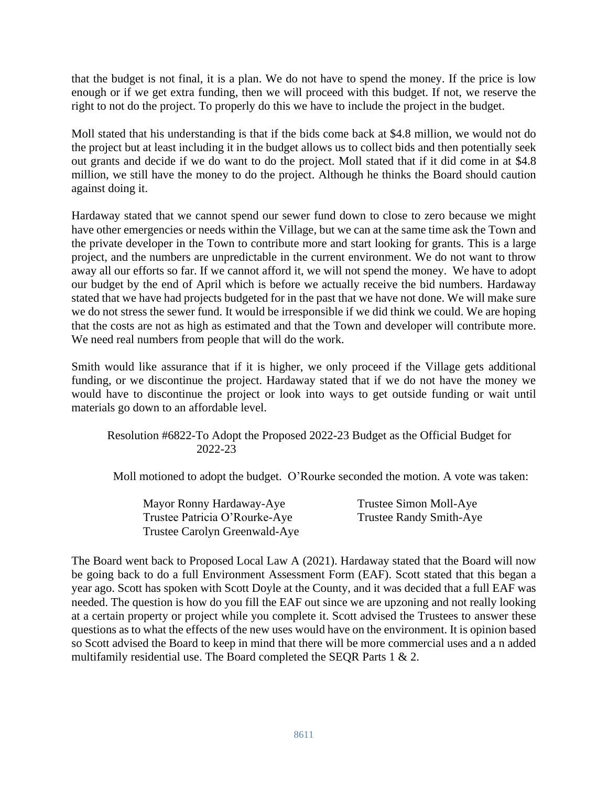that the budget is not final, it is a plan. We do not have to spend the money. If the price is low enough or if we get extra funding, then we will proceed with this budget. If not, we reserve the right to not do the project. To properly do this we have to include the project in the budget.

Moll stated that his understanding is that if the bids come back at \$4.8 million, we would not do the project but at least including it in the budget allows us to collect bids and then potentially seek out grants and decide if we do want to do the project. Moll stated that if it did come in at \$4.8 million, we still have the money to do the project. Although he thinks the Board should caution against doing it.

Hardaway stated that we cannot spend our sewer fund down to close to zero because we might have other emergencies or needs within the Village, but we can at the same time ask the Town and the private developer in the Town to contribute more and start looking for grants. This is a large project, and the numbers are unpredictable in the current environment. We do not want to throw away all our efforts so far. If we cannot afford it, we will not spend the money. We have to adopt our budget by the end of April which is before we actually receive the bid numbers. Hardaway stated that we have had projects budgeted for in the past that we have not done. We will make sure we do not stress the sewer fund. It would be irresponsible if we did think we could. We are hoping that the costs are not as high as estimated and that the Town and developer will contribute more. We need real numbers from people that will do the work.

Smith would like assurance that if it is higher, we only proceed if the Village gets additional funding, or we discontinue the project. Hardaway stated that if we do not have the money we would have to discontinue the project or look into ways to get outside funding or wait until materials go down to an affordable level.

Resolution #6822-To Adopt the Proposed 2022-23 Budget as the Official Budget for 2022-23

Moll motioned to adopt the budget. O'Rourke seconded the motion. A vote was taken:

| Mayor Ronny Hardaway-Aye      | Trustee Simon Moll-Aye  |
|-------------------------------|-------------------------|
| Trustee Patricia O'Rourke-Aye | Trustee Randy Smith-Aye |
| Trustee Carolyn Greenwald-Aye |                         |

The Board went back to Proposed Local Law A (2021). Hardaway stated that the Board will now be going back to do a full Environment Assessment Form (EAF). Scott stated that this began a year ago. Scott has spoken with Scott Doyle at the County, and it was decided that a full EAF was needed. The question is how do you fill the EAF out since we are upzoning and not really looking at a certain property or project while you complete it. Scott advised the Trustees to answer these questions as to what the effects of the new uses would have on the environment. It is opinion based so Scott advised the Board to keep in mind that there will be more commercial uses and a n added multifamily residential use. The Board completed the SEQR Parts 1 & 2.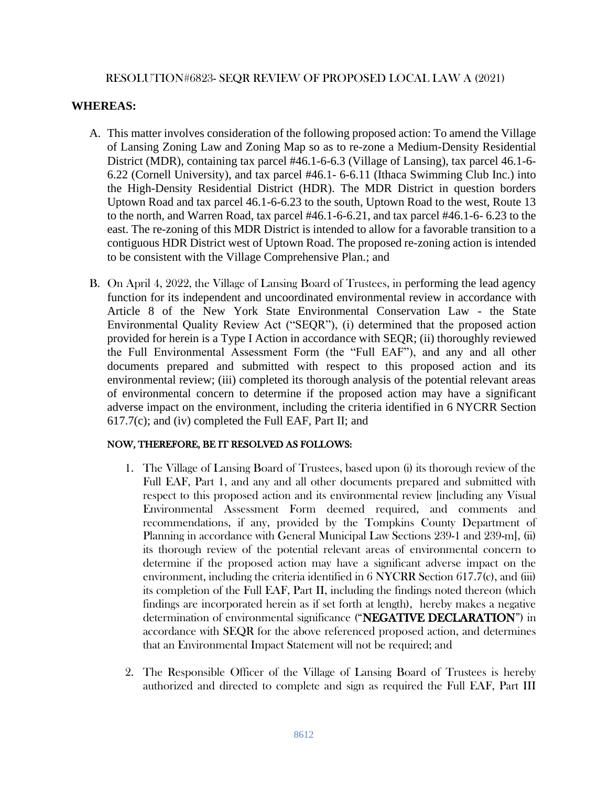### RESOLUTION#6823- SEQR REVIEW OF PROPOSED LOCAL LAW A (2021)

### **WHEREAS:**

- A. This matter involves consideration of the following proposed action: To amend the Village of Lansing Zoning Law and Zoning Map so as to re-zone a Medium-Density Residential District (MDR), containing tax parcel #46.1-6-6.3 (Village of Lansing), tax parcel 46.1-6- 6.22 (Cornell University), and tax parcel #46.1- 6-6.11 (Ithaca Swimming Club Inc.) into the High-Density Residential District (HDR). The MDR District in question borders Uptown Road and tax parcel 46.1-6-6.23 to the south, Uptown Road to the west, Route 13 to the north, and Warren Road, tax parcel #46.1-6-6.21, and tax parcel #46.1-6- 6.23 to the east. The re-zoning of this MDR District is intended to allow for a favorable transition to a contiguous HDR District west of Uptown Road. The proposed re-zoning action is intended to be consistent with the Village Comprehensive Plan.; and
- B. On April 4, 2022, the Village of Lansing Board of Trustees, in performing the lead agency function for its independent and uncoordinated environmental review in accordance with Article 8 of the New York State Environmental Conservation Law - the State Environmental Quality Review Act ("SEQR"), (i) determined that the proposed action provided for herein is a Type I Action in accordance with SEQR; (ii) thoroughly reviewed the Full Environmental Assessment Form (the "Full EAF"), and any and all other documents prepared and submitted with respect to this proposed action and its environmental review; (iii) completed its thorough analysis of the potential relevant areas of environmental concern to determine if the proposed action may have a significant adverse impact on the environment, including the criteria identified in 6 NYCRR Section 617.7(c); and (iv) completed the Full EAF, Part II; and

#### NOW, THEREFORE, BE IT RESOLVED AS FOLLOWS:

- 1. The Village of Lansing Board of Trustees, based upon (i) its thorough review of the Full EAF, Part 1, and any and all other documents prepared and submitted with respect to this proposed action and its environmental review [including any Visual Environmental Assessment Form deemed required, and comments and recommendations, if any, provided by the Tompkins County Department of Planning in accordance with General Municipal Law Sections 239-1 and 239-m], (ii) its thorough review of the potential relevant areas of environmental concern to determine if the proposed action may have a significant adverse impact on the environment, including the criteria identified in 6 NYCRR Section 617.7(c), and (iii) its completion of the Full EAF, Part II, including the findings noted thereon (which findings are incorporated herein as if set forth at length), hereby makes a negative determination of environmental significance ("NEGATIVE DECLARATION") in accordance with SEQR for the above referenced proposed action, and determines that an Environmental Impact Statement will not be required; and
- 2. The Responsible Officer of the Village of Lansing Board of Trustees is hereby authorized and directed to complete and sign as required the Full EAF, Part III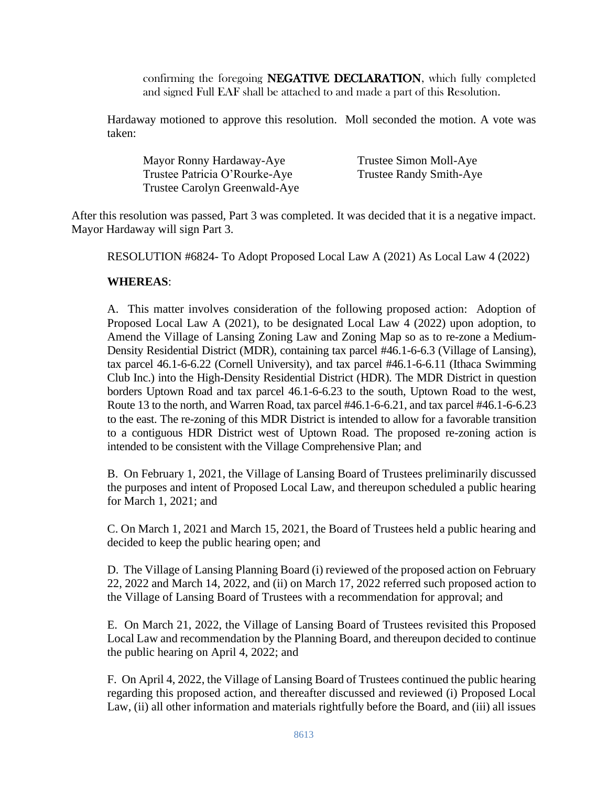confirming the foregoing NEGATIVE DECLARATION, which fully completed and signed Full EAF shall be attached to and made a part of this Resolution.

Hardaway motioned to approve this resolution. Moll seconded the motion. A vote was taken:

Mayor Ronny Hardaway-Aye Trustee Simon Moll-Aye Trustee Patricia O'Rourke-Aye Trustee Randy Smith-Aye Trustee Carolyn Greenwald-Aye

After this resolution was passed, Part 3 was completed. It was decided that it is a negative impact. Mayor Hardaway will sign Part 3.

RESOLUTION #6824- To Adopt Proposed Local Law A (2021) As Local Law 4 (2022)

#### **WHEREAS**:

A. This matter involves consideration of the following proposed action: Adoption of Proposed Local Law A (2021), to be designated Local Law 4 (2022) upon adoption, to Amend the Village of Lansing Zoning Law and Zoning Map so as to re-zone a Medium-Density Residential District (MDR), containing tax parcel #46.1-6-6.3 (Village of Lansing), tax parcel 46.1-6-6.22 (Cornell University), and tax parcel #46.1-6-6.11 (Ithaca Swimming Club Inc.) into the High-Density Residential District (HDR). The MDR District in question borders Uptown Road and tax parcel 46.1-6-6.23 to the south, Uptown Road to the west, Route 13 to the north, and Warren Road, tax parcel #46.1-6-6.21, and tax parcel #46.1-6-6.23 to the east. The re-zoning of this MDR District is intended to allow for a favorable transition to a contiguous HDR District west of Uptown Road. The proposed re-zoning action is intended to be consistent with the Village Comprehensive Plan; and

B. On February 1, 2021, the Village of Lansing Board of Trustees preliminarily discussed the purposes and intent of Proposed Local Law, and thereupon scheduled a public hearing for March 1, 2021; and

C. On March 1, 2021 and March 15, 2021, the Board of Trustees held a public hearing and decided to keep the public hearing open; and

D. The Village of Lansing Planning Board (i) reviewed of the proposed action on February 22, 2022 and March 14, 2022, and (ii) on March 17, 2022 referred such proposed action to the Village of Lansing Board of Trustees with a recommendation for approval; and

E. On March 21, 2022, the Village of Lansing Board of Trustees revisited this Proposed Local Law and recommendation by the Planning Board, and thereupon decided to continue the public hearing on April 4, 2022; and

F. On April 4, 2022, the Village of Lansing Board of Trustees continued the public hearing regarding this proposed action, and thereafter discussed and reviewed (i) Proposed Local Law, (ii) all other information and materials rightfully before the Board, and (iii) all issues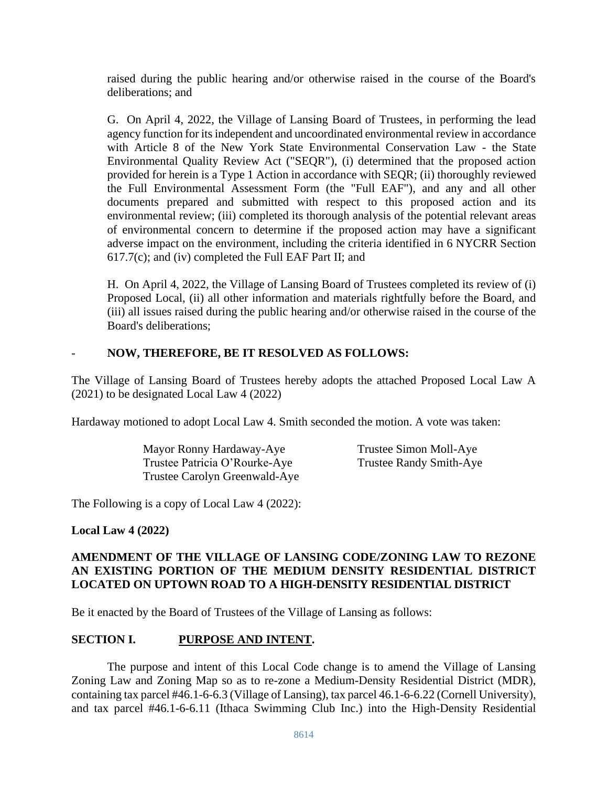raised during the public hearing and/or otherwise raised in the course of the Board's deliberations; and

G. On April 4, 2022, the Village of Lansing Board of Trustees, in performing the lead agency function for its independent and uncoordinated environmental review in accordance with Article 8 of the New York State Environmental Conservation Law - the State Environmental Quality Review Act ("SEQR"), (i) determined that the proposed action provided for herein is a Type 1 Action in accordance with SEQR; (ii) thoroughly reviewed the Full Environmental Assessment Form (the "Full EAF"), and any and all other documents prepared and submitted with respect to this proposed action and its environmental review; (iii) completed its thorough analysis of the potential relevant areas of environmental concern to determine if the proposed action may have a significant adverse impact on the environment, including the criteria identified in 6 NYCRR Section 617.7(c); and (iv) completed the Full EAF Part II; and

H. On April 4, 2022, the Village of Lansing Board of Trustees completed its review of (i) Proposed Local, (ii) all other information and materials rightfully before the Board, and (iii) all issues raised during the public hearing and/or otherwise raised in the course of the Board's deliberations;

# - **NOW, THEREFORE, BE IT RESOLVED AS FOLLOWS:**

The Village of Lansing Board of Trustees hereby adopts the attached Proposed Local Law A (2021) to be designated Local Law 4 (2022)

Hardaway motioned to adopt Local Law 4. Smith seconded the motion. A vote was taken:

Mayor Ronny Hardaway-Aye Trustee Simon Moll-Aye Trustee Patricia O'Rourke-Aye Trustee Randy Smith-Aye Trustee Carolyn Greenwald-Aye

The Following is a copy of Local Law 4 (2022):

**Local Law 4 (2022)**

# **AMENDMENT OF THE VILLAGE OF LANSING CODE/ZONING LAW TO REZONE AN EXISTING PORTION OF THE MEDIUM DENSITY RESIDENTIAL DISTRICT LOCATED ON UPTOWN ROAD TO A HIGH-DENSITY RESIDENTIAL DISTRICT**

Be it enacted by the Board of Trustees of the Village of Lansing as follows:

# **SECTION I. PURPOSE AND INTENT.**

The purpose and intent of this Local Code change is to amend the Village of Lansing Zoning Law and Zoning Map so as to re-zone a Medium-Density Residential District (MDR), containing tax parcel #46.1-6-6.3 (Village of Lansing), tax parcel 46.1-6-6.22 (Cornell University), and tax parcel #46.1-6-6.11 (Ithaca Swimming Club Inc.) into the High-Density Residential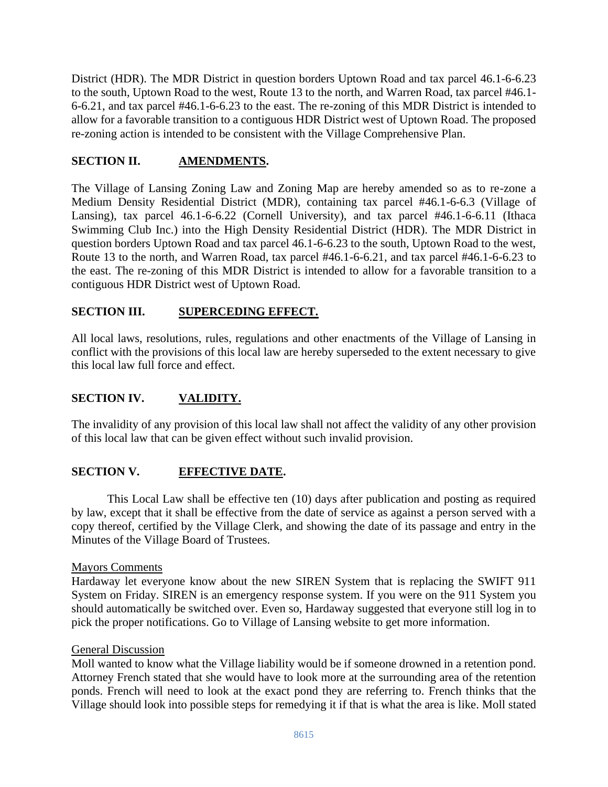District (HDR). The MDR District in question borders Uptown Road and tax parcel 46.1-6-6.23 to the south, Uptown Road to the west, Route 13 to the north, and Warren Road, tax parcel #46.1- 6-6.21, and tax parcel #46.1-6-6.23 to the east. The re-zoning of this MDR District is intended to allow for a favorable transition to a contiguous HDR District west of Uptown Road. The proposed re-zoning action is intended to be consistent with the Village Comprehensive Plan.

## **SECTION II. AMENDMENTS.**

The Village of Lansing Zoning Law and Zoning Map are hereby amended so as to re-zone a Medium Density Residential District (MDR), containing tax parcel #46.1-6-6.3 (Village of Lansing), tax parcel 46.1-6-6.22 (Cornell University), and tax parcel #46.1-6-6.11 (Ithaca Swimming Club Inc.) into the High Density Residential District (HDR). The MDR District in question borders Uptown Road and tax parcel 46.1-6-6.23 to the south, Uptown Road to the west, Route 13 to the north, and Warren Road, tax parcel #46.1-6-6.21, and tax parcel #46.1-6-6.23 to the east. The re-zoning of this MDR District is intended to allow for a favorable transition to a contiguous HDR District west of Uptown Road.

## **SECTION III. SUPERCEDING EFFECT.**

All local laws, resolutions, rules, regulations and other enactments of the Village of Lansing in conflict with the provisions of this local law are hereby superseded to the extent necessary to give this local law full force and effect.

## **SECTION IV. VALIDITY.**

The invalidity of any provision of this local law shall not affect the validity of any other provision of this local law that can be given effect without such invalid provision.

### **SECTION V. EFFECTIVE DATE.**

This Local Law shall be effective ten (10) days after publication and posting as required by law, except that it shall be effective from the date of service as against a person served with a copy thereof, certified by the Village Clerk, and showing the date of its passage and entry in the Minutes of the Village Board of Trustees.

#### Mayors Comments

Hardaway let everyone know about the new SIREN System that is replacing the SWIFT 911 System on Friday. SIREN is an emergency response system. If you were on the 911 System you should automatically be switched over. Even so, Hardaway suggested that everyone still log in to pick the proper notifications. Go to Village of Lansing website to get more information.

#### General Discussion

Moll wanted to know what the Village liability would be if someone drowned in a retention pond. Attorney French stated that she would have to look more at the surrounding area of the retention ponds. French will need to look at the exact pond they are referring to. French thinks that the Village should look into possible steps for remedying it if that is what the area is like. Moll stated